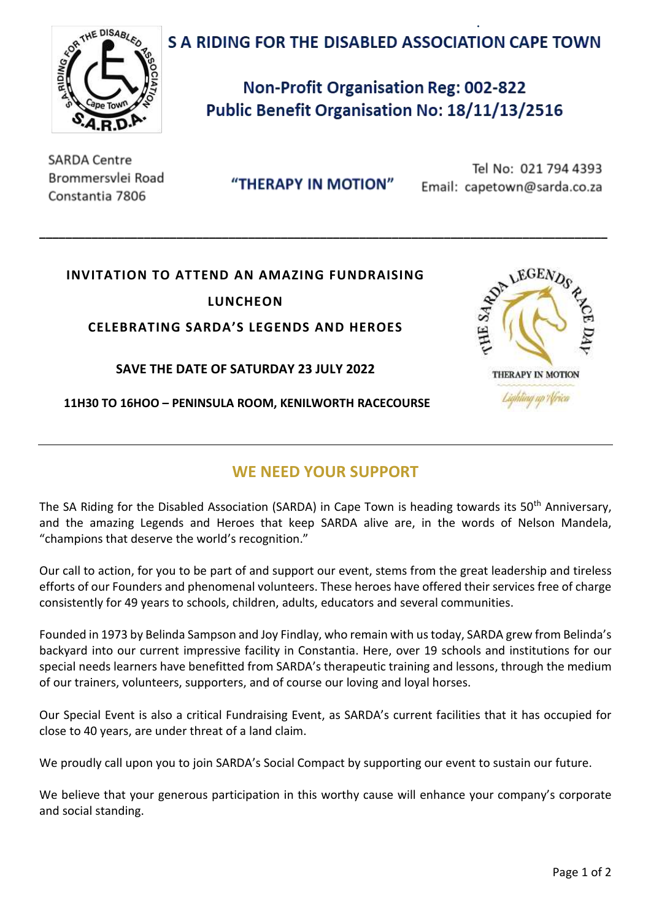# S A RIDING FOR THE DISABLED ASSOCIATION CAPE TOWN



**Non-Profit Organisation Reg: 002-822** Public Benefit Organisation No: 18/11/13/2516

**SARDA Centre** Brommersylei Road Constantia 7806

"THERAPY IN MOTION"

**\_\_\_\_\_\_\_\_\_\_\_\_\_\_\_\_\_\_\_\_\_\_\_\_\_\_\_\_\_\_\_\_\_\_\_\_\_\_\_\_\_\_\_\_\_\_\_\_\_\_\_\_\_\_\_\_\_\_\_\_\_\_\_\_\_\_\_\_\_\_\_\_\_\_\_\_\_\_\_\_\_\_\_\_\_\_\_**

Tel No: 021 794 4393 Email: capetown@sarda.co.za

**.**

## **INVITATION TO ATTEND AN AMAZING FUNDRAISING**

**LUNCHEON**

**CELEBRATING SARDA'S LEGENDS AND HEROES**

**SAVE THE DATE OF SATURDAY 23 JULY 2022**

**11H30 TO 16HOO – PENINSULA ROOM, KENILWORTH RACECOURSE**



## **WE NEED YOUR SUPPORT**

The SA Riding for the Disabled Association (SARDA) in Cape Town is heading towards its 50<sup>th</sup> Anniversary, and the amazing Legends and Heroes that keep SARDA alive are, in the words of Nelson Mandela, "champions that deserve the world's recognition."

Our call to action, for you to be part of and support our event, stems from the great leadership and tireless efforts of our Founders and phenomenal volunteers. These heroes have offered their services free of charge consistently for 49 years to schools, children, adults, educators and several communities.

Founded in 1973 by Belinda Sampson and Joy Findlay, who remain with us today, SARDA grew from Belinda's backyard into our current impressive facility in Constantia. Here, over 19 schools and institutions for our special needs learners have benefitted from SARDA's therapeutic training and lessons, through the medium of our trainers, volunteers, supporters, and of course our loving and loyal horses.

Our Special Event is also a critical Fundraising Event, as SARDA's current facilities that it has occupied for close to 40 years, are under threat of a land claim.

We proudly call upon you to join SARDA's Social Compact by supporting our event to sustain our future.

We believe that your generous participation in this worthy cause will enhance your company's corporate and social standing.